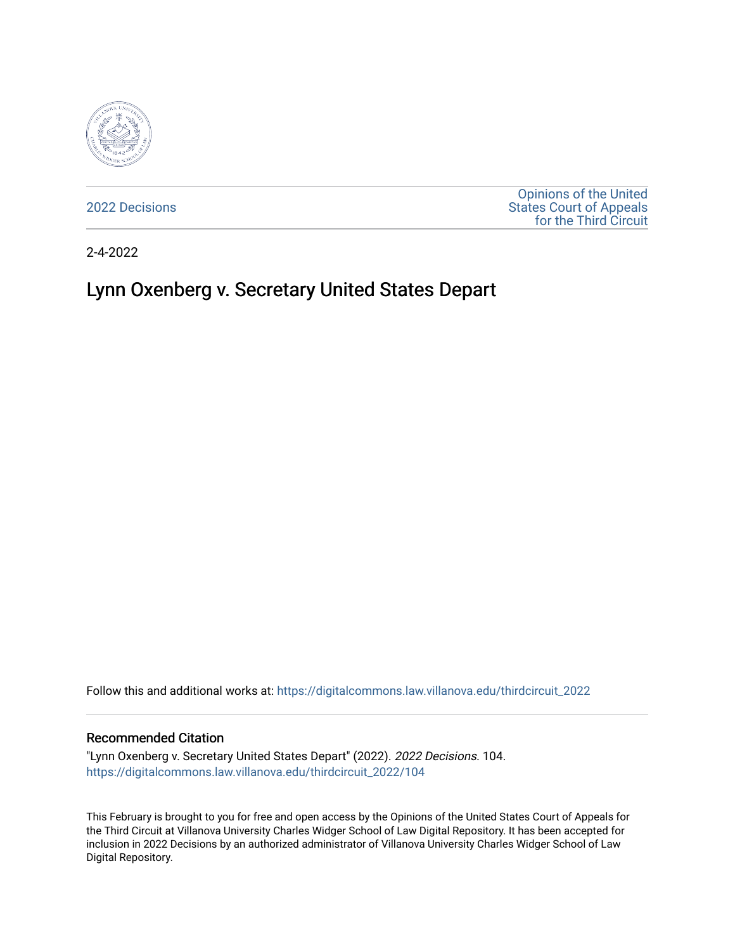

[2022 Decisions](https://digitalcommons.law.villanova.edu/thirdcircuit_2022)

[Opinions of the United](https://digitalcommons.law.villanova.edu/thirdcircuit)  [States Court of Appeals](https://digitalcommons.law.villanova.edu/thirdcircuit)  [for the Third Circuit](https://digitalcommons.law.villanova.edu/thirdcircuit) 

2-4-2022

# Lynn Oxenberg v. Secretary United States Depart

Follow this and additional works at: [https://digitalcommons.law.villanova.edu/thirdcircuit\\_2022](https://digitalcommons.law.villanova.edu/thirdcircuit_2022?utm_source=digitalcommons.law.villanova.edu%2Fthirdcircuit_2022%2F104&utm_medium=PDF&utm_campaign=PDFCoverPages) 

#### Recommended Citation

"Lynn Oxenberg v. Secretary United States Depart" (2022). 2022 Decisions. 104. [https://digitalcommons.law.villanova.edu/thirdcircuit\\_2022/104](https://digitalcommons.law.villanova.edu/thirdcircuit_2022/104?utm_source=digitalcommons.law.villanova.edu%2Fthirdcircuit_2022%2F104&utm_medium=PDF&utm_campaign=PDFCoverPages)

This February is brought to you for free and open access by the Opinions of the United States Court of Appeals for the Third Circuit at Villanova University Charles Widger School of Law Digital Repository. It has been accepted for inclusion in 2022 Decisions by an authorized administrator of Villanova University Charles Widger School of Law Digital Repository.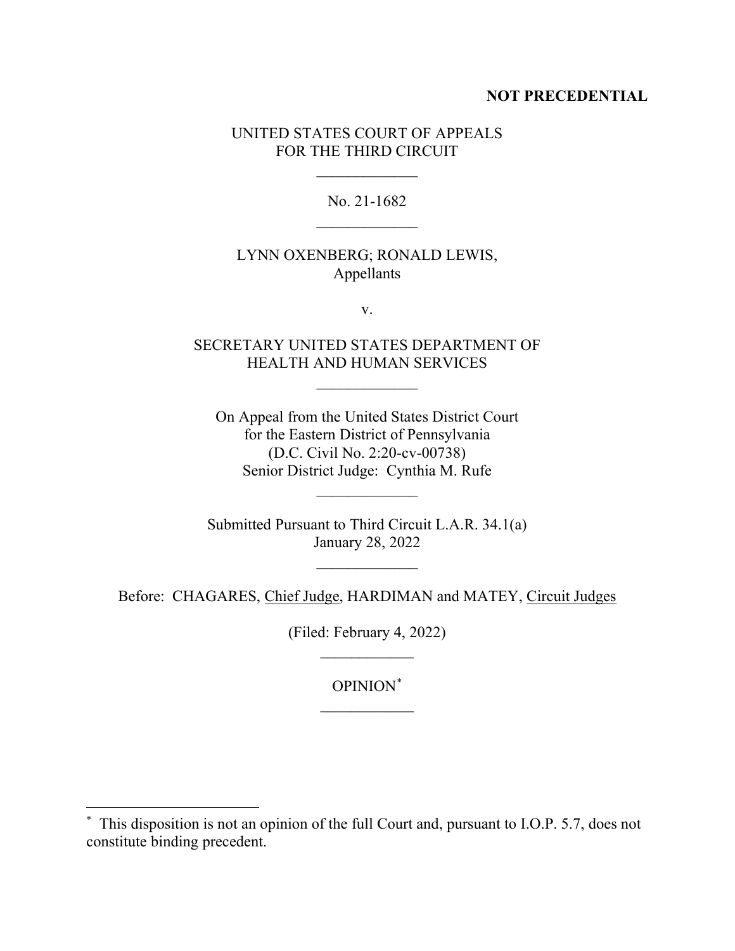# **NOT PRECEDENTIAL**

# UNITED STATES COURT OF APPEALS FOR THE THIRD CIRCUIT

 $\frac{1}{2}$ 

No. 21-1682  $\frac{1}{2}$ 

# LYNN OXENBERG; RONALD LEWIS, Appellants

v.

# SECRETARY UNITED STATES DEPARTMENT OF HEALTH AND HUMAN SERVICES

 $\overline{\phantom{a}}$ 

On Appeal from the United States District Court for the Eastern District of Pennsylvania (D.C. Civil No. 2:20-cv-00738) Senior District Judge: Cynthia M. Rufe

Submitted Pursuant to Third Circuit L.A.R. 34.1(a) January 28, 2022

 $\frac{1}{2}$ 

 $\frac{1}{2}$ 

Before: CHAGARES, Chief Judge, HARDIMAN and MATEY, Circuit Judges

(Filed: February 4, 2022)  $\frac{1}{2}$ 

OPINION\*

<sup>\*</sup> This disposition is not an opinion of the full Court and, pursuant to I.O.P. 5.7, does not constitute binding precedent.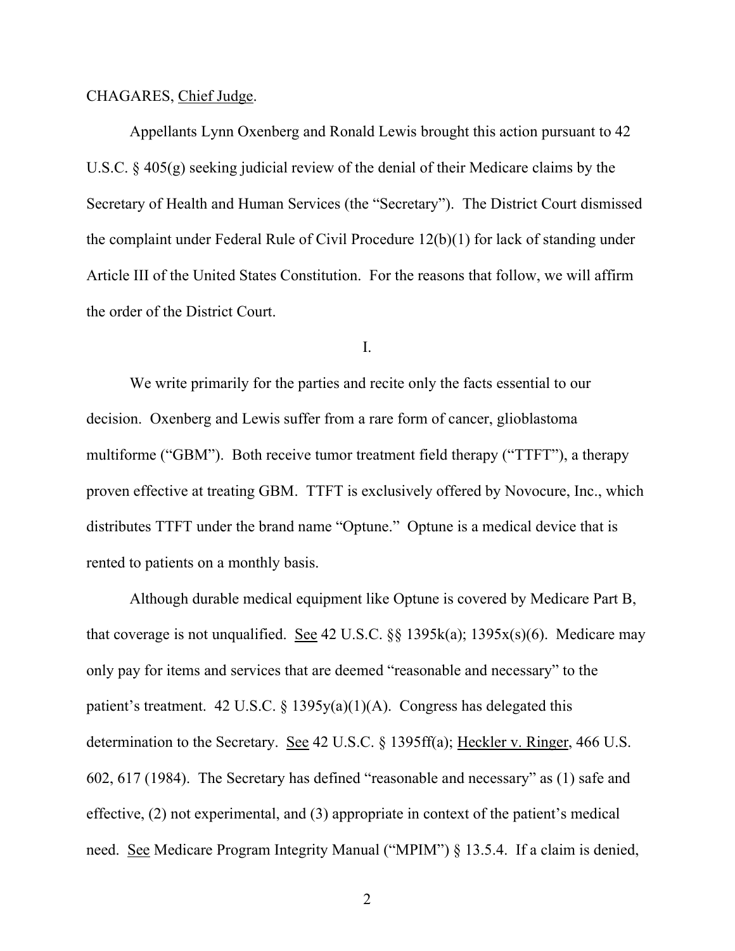#### CHAGARES, Chief Judge.

Appellants Lynn Oxenberg and Ronald Lewis brought this action pursuant to 42 U.S.C. § 405(g) seeking judicial review of the denial of their Medicare claims by the Secretary of Health and Human Services (the "Secretary"). The District Court dismissed the complaint under Federal Rule of Civil Procedure 12(b)(1) for lack of standing under Article III of the United States Constitution. For the reasons that follow, we will affirm the order of the District Court.

#### I.

We write primarily for the parties and recite only the facts essential to our decision. Oxenberg and Lewis suffer from a rare form of cancer, glioblastoma multiforme ("GBM"). Both receive tumor treatment field therapy ("TTFT"), a therapy proven effective at treating GBM. TTFT is exclusively offered by Novocure, Inc., which distributes TTFT under the brand name "Optune." Optune is a medical device that is rented to patients on a monthly basis.

Although durable medical equipment like Optune is covered by Medicare Part B, that coverage is not unqualified. See 42 U.S.C.  $\S$ § 1395k(a); 1395x(s)(6). Medicare may only pay for items and services that are deemed "reasonable and necessary" to the patient's treatment. 42 U.S.C. § 1395 $y(a)(1)(A)$ . Congress has delegated this determination to the Secretary. See 42 U.S.C. § 1395ff(a); Heckler v. Ringer, 466 U.S. 602, 617 (1984). The Secretary has defined "reasonable and necessary" as (1) safe and effective, (2) not experimental, and (3) appropriate in context of the patient's medical need. See Medicare Program Integrity Manual ("MPIM") § 13.5.4. If a claim is denied,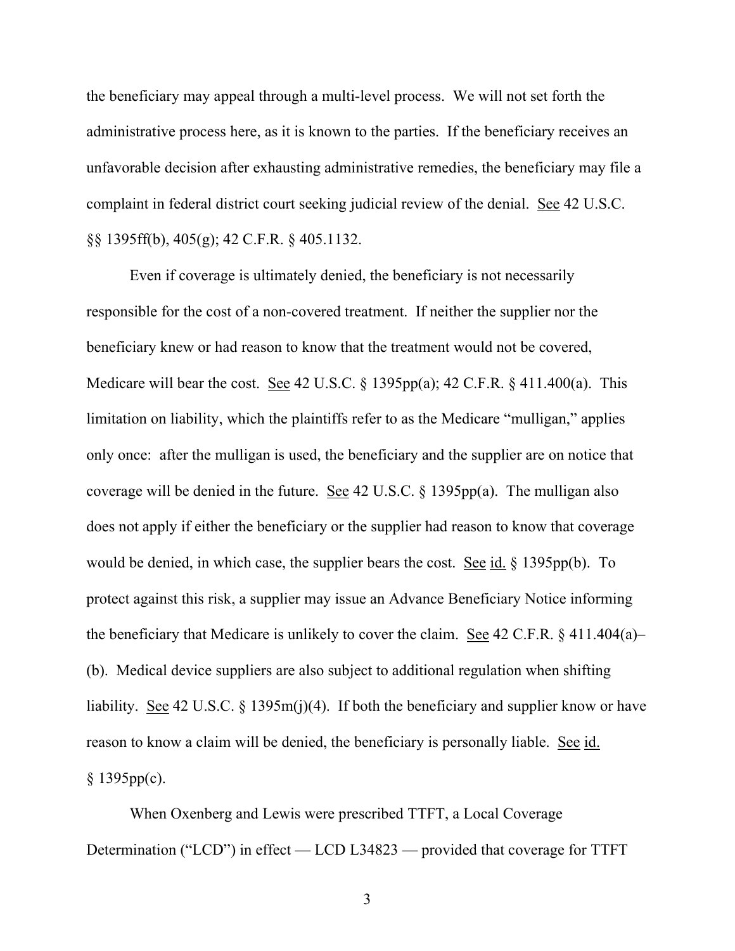the beneficiary may appeal through a multi-level process. We will not set forth the administrative process here, as it is known to the parties. If the beneficiary receives an unfavorable decision after exhausting administrative remedies, the beneficiary may file a complaint in federal district court seeking judicial review of the denial. See 42 U.S.C. §§ 1395ff(b), 405(g); 42 C.F.R. § 405.1132.

Even if coverage is ultimately denied, the beneficiary is not necessarily responsible for the cost of a non-covered treatment. If neither the supplier nor the beneficiary knew or had reason to know that the treatment would not be covered, Medicare will bear the cost. See 42 U.S.C. § 1395pp(a); 42 C.F.R. § 411.400(a). This limitation on liability, which the plaintiffs refer to as the Medicare "mulligan," applies only once: after the mulligan is used, the beneficiary and the supplier are on notice that coverage will be denied in the future. See 42 U.S.C. § 1395pp(a). The mulligan also does not apply if either the beneficiary or the supplier had reason to know that coverage would be denied, in which case, the supplier bears the cost. See id. § 1395pp(b). To protect against this risk, a supplier may issue an Advance Beneficiary Notice informing the beneficiary that Medicare is unlikely to cover the claim. See 42 C.F.R.  $\S$  411.404(a)– (b). Medical device suppliers are also subject to additional regulation when shifting liability. <u>See</u> 42 U.S.C. § 1395m(j)(4). If both the beneficiary and supplier know or have reason to know a claim will be denied, the beneficiary is personally liable. See id.  $§ 1395pp(c).$ 

When Oxenberg and Lewis were prescribed TTFT, a Local Coverage Determination ("LCD") in effect — LCD L34823 — provided that coverage for TTFT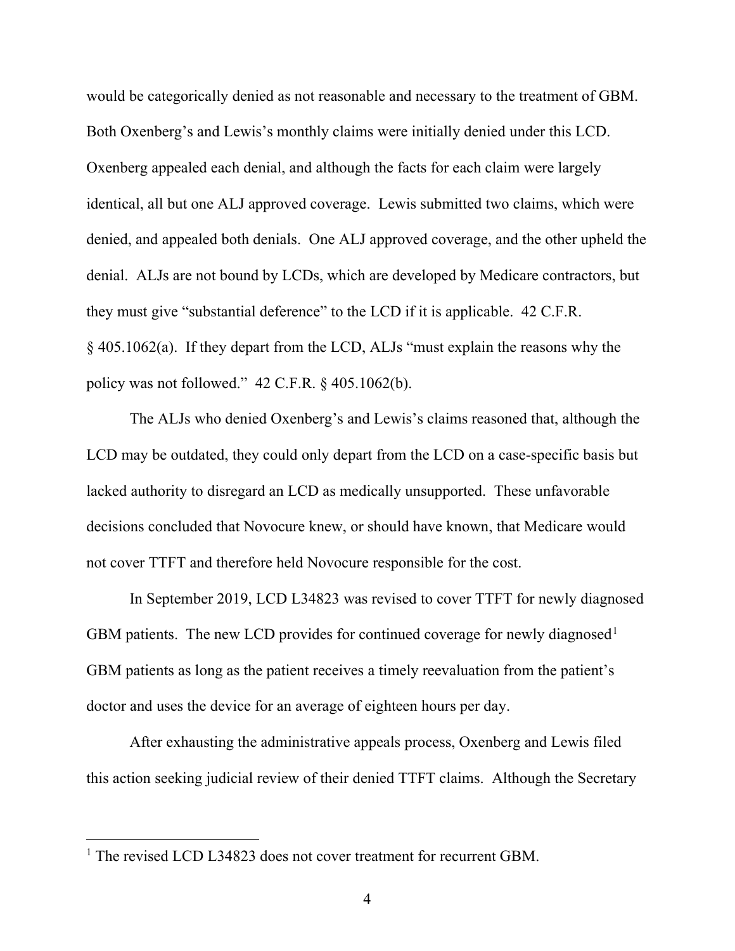would be categorically denied as not reasonable and necessary to the treatment of GBM. Both Oxenberg's and Lewis's monthly claims were initially denied under this LCD. Oxenberg appealed each denial, and although the facts for each claim were largely identical, all but one ALJ approved coverage. Lewis submitted two claims, which were denied, and appealed both denials. One ALJ approved coverage, and the other upheld the denial. ALJs are not bound by LCDs, which are developed by Medicare contractors, but they must give "substantial deference" to the LCD if it is applicable. 42 C.F.R. § 405.1062(a). If they depart from the LCD, ALJs "must explain the reasons why the policy was not followed." 42 C.F.R. § 405.1062(b).

The ALJs who denied Oxenberg's and Lewis's claims reasoned that, although the LCD may be outdated, they could only depart from the LCD on a case-specific basis but lacked authority to disregard an LCD as medically unsupported. These unfavorable decisions concluded that Novocure knew, or should have known, that Medicare would not cover TTFT and therefore held Novocure responsible for the cost.

In September 2019, LCD L34823 was revised to cover TTFT for newly diagnosed GBM patients. The new LCD provides for continued coverage for newly diagnosed<sup>1</sup> GBM patients as long as the patient receives a timely reevaluation from the patient's doctor and uses the device for an average of eighteen hours per day.

After exhausting the administrative appeals process, Oxenberg and Lewis filed this action seeking judicial review of their denied TTFT claims. Although the Secretary

<sup>&</sup>lt;sup>1</sup> The revised LCD L34823 does not cover treatment for recurrent GBM.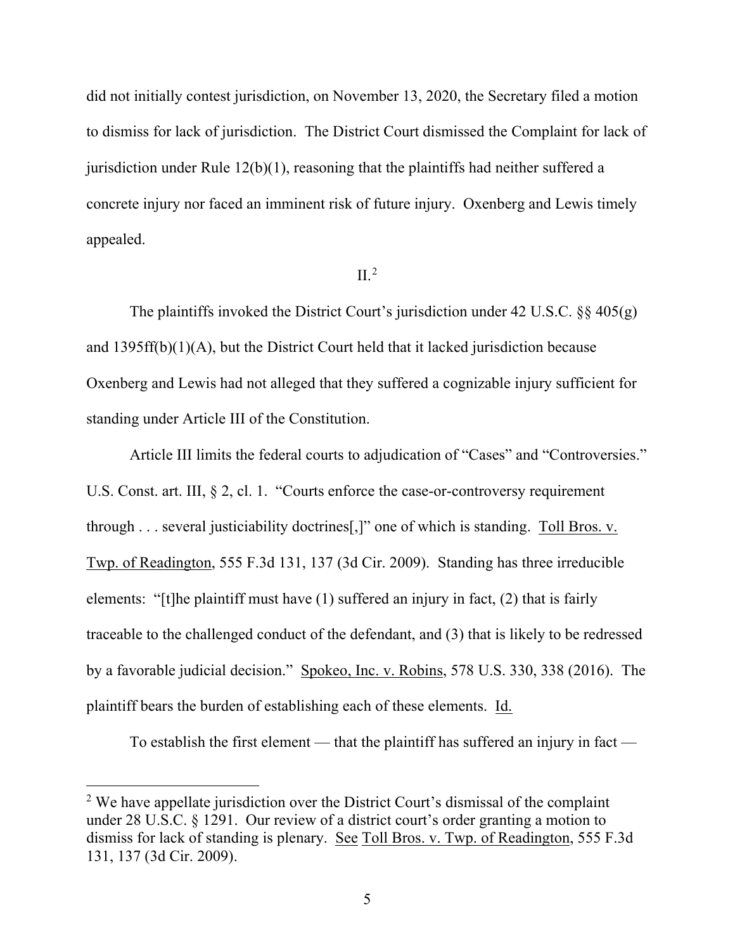did not initially contest jurisdiction, on November 13, 2020, the Secretary filed a motion to dismiss for lack of jurisdiction. The District Court dismissed the Complaint for lack of jurisdiction under Rule 12(b)(1), reasoning that the plaintiffs had neither suffered a concrete injury nor faced an imminent risk of future injury. Oxenberg and Lewis timely appealed.

# $II.<sup>2</sup>$

The plaintiffs invoked the District Court's jurisdiction under 42 U.S.C.  $\S$ § 405(g) and 1395ff(b)(1)(A), but the District Court held that it lacked jurisdiction because Oxenberg and Lewis had not alleged that they suffered a cognizable injury sufficient for standing under Article III of the Constitution.

Article III limits the federal courts to adjudication of "Cases" and "Controversies." U.S. Const. art. III, § 2, cl. 1. "Courts enforce the case-or-controversy requirement through . . . several justiciability doctrines [,]" one of which is standing. Toll Bros. v. Twp. of Readington, 555 F.3d 131, 137 (3d Cir. 2009). Standing has three irreducible elements: "[t]he plaintiff must have (1) suffered an injury in fact, (2) that is fairly traceable to the challenged conduct of the defendant, and (3) that is likely to be redressed by a favorable judicial decision." Spokeo, Inc. v. Robins, 578 U.S. 330, 338 (2016). The plaintiff bears the burden of establishing each of these elements. Id.

To establish the first element — that the plaintiff has suffered an injury in fact —

<sup>&</sup>lt;sup>2</sup> We have appellate jurisdiction over the District Court's dismissal of the complaint under 28 U.S.C. § 1291. Our review of a district court's order granting a motion to dismiss for lack of standing is plenary. See Toll Bros. v. Twp. of Readington, 555 F.3d 131, 137 (3d Cir. 2009).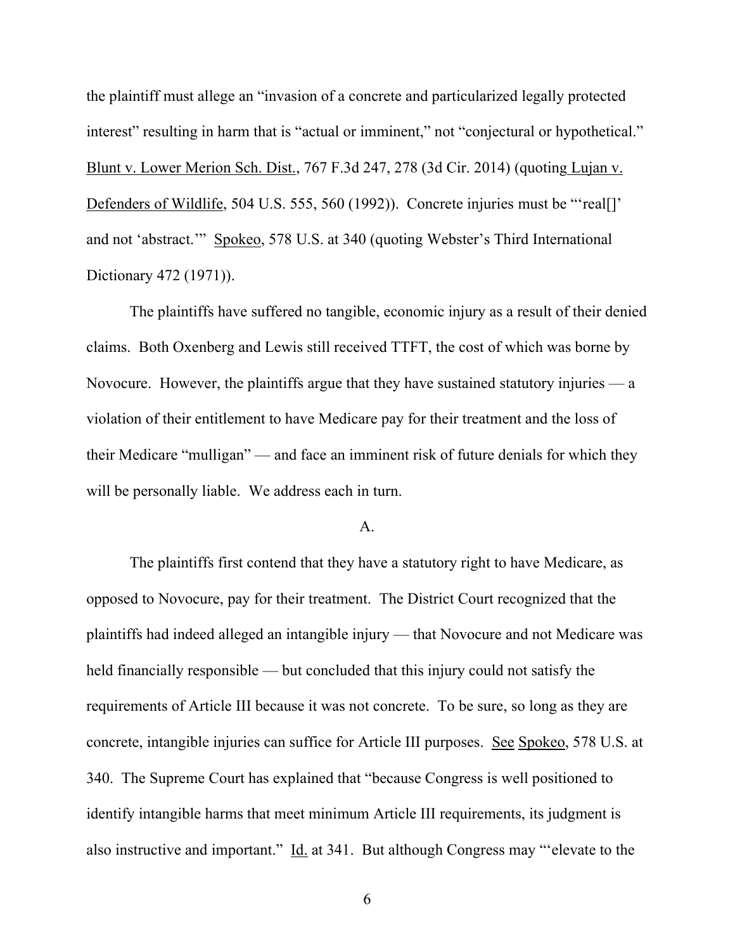the plaintiff must allege an "invasion of a concrete and particularized legally protected interest" resulting in harm that is "actual or imminent," not "conjectural or hypothetical." Blunt v. Lower Merion Sch. Dist., 767 F.3d 247, 278 (3d Cir. 2014) (quoting Lujan v. Defenders of Wildlife, 504 U.S. 555, 560 (1992)). Concrete injuries must be "'real[]' and not 'abstract.'" Spokeo, 578 U.S. at 340 (quoting Webster's Third International Dictionary 472 (1971)).

The plaintiffs have suffered no tangible, economic injury as a result of their denied claims. Both Oxenberg and Lewis still received TTFT, the cost of which was borne by Novocure. However, the plaintiffs argue that they have sustained statutory injuries — a violation of their entitlement to have Medicare pay for their treatment and the loss of their Medicare "mulligan" — and face an imminent risk of future denials for which they will be personally liable. We address each in turn.

## A.

The plaintiffs first contend that they have a statutory right to have Medicare, as opposed to Novocure, pay for their treatment. The District Court recognized that the plaintiffs had indeed alleged an intangible injury — that Novocure and not Medicare was held financially responsible — but concluded that this injury could not satisfy the requirements of Article III because it was not concrete. To be sure, so long as they are concrete, intangible injuries can suffice for Article III purposes. See Spokeo, 578 U.S. at 340. The Supreme Court has explained that "because Congress is well positioned to identify intangible harms that meet minimum Article III requirements, its judgment is also instructive and important." Id. at 341. But although Congress may "'elevate to the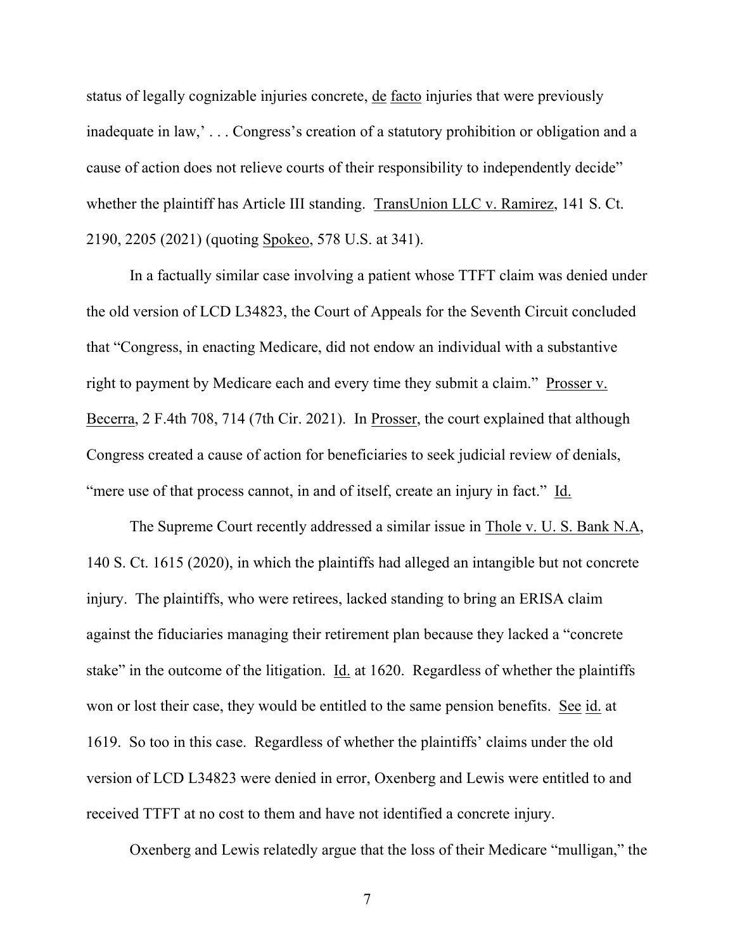status of legally cognizable injuries concrete, de facto injuries that were previously inadequate in law,' . . . Congress's creation of a statutory prohibition or obligation and a cause of action does not relieve courts of their responsibility to independently decide" whether the plaintiff has Article III standing. TransUnion LLC v. Ramirez, 141 S. Ct. 2190, 2205 (2021) (quoting Spokeo, 578 U.S. at 341).

In a factually similar case involving a patient whose TTFT claim was denied under the old version of LCD L34823, the Court of Appeals for the Seventh Circuit concluded that "Congress, in enacting Medicare, did not endow an individual with a substantive right to payment by Medicare each and every time they submit a claim." Prosser v. Becerra, 2 F.4th 708, 714 (7th Cir. 2021). In Prosser, the court explained that although Congress created a cause of action for beneficiaries to seek judicial review of denials, "mere use of that process cannot, in and of itself, create an injury in fact." Id.

The Supreme Court recently addressed a similar issue in Thole v. U. S. Bank N.A, 140 S. Ct. 1615 (2020), in which the plaintiffs had alleged an intangible but not concrete injury. The plaintiffs, who were retirees, lacked standing to bring an ERISA claim against the fiduciaries managing their retirement plan because they lacked a "concrete stake" in the outcome of the litigation.  $\underline{Id}$  at 1620. Regardless of whether the plaintiffs won or lost their case, they would be entitled to the same pension benefits. See id. at 1619. So too in this case. Regardless of whether the plaintiffs' claims under the old version of LCD L34823 were denied in error, Oxenberg and Lewis were entitled to and received TTFT at no cost to them and have not identified a concrete injury.

Oxenberg and Lewis relatedly argue that the loss of their Medicare "mulligan," the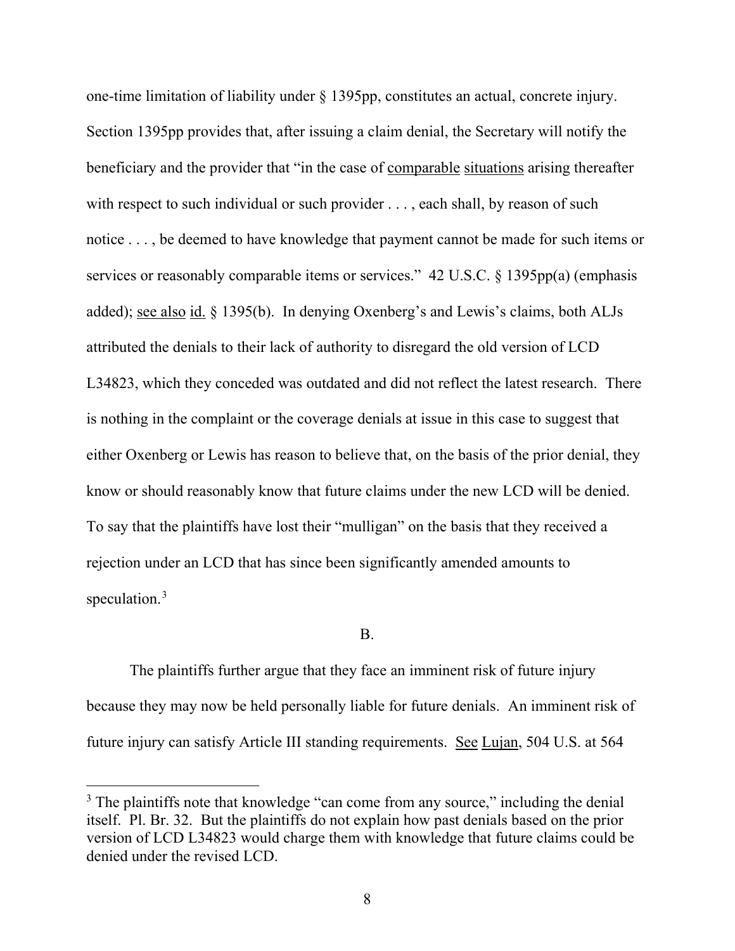one-time limitation of liability under § 1395pp, constitutes an actual, concrete injury. Section 1395pp provides that, after issuing a claim denial, the Secretary will notify the beneficiary and the provider that "in the case of comparable situations arising thereafter with respect to such individual or such provider . . . , each shall, by reason of such notice . . . , be deemed to have knowledge that payment cannot be made for such items or services or reasonably comparable items or services." 42 U.S.C. § 1395pp(a) (emphasis added); see also id. § 1395(b). In denying Oxenberg's and Lewis's claims, both ALJs attributed the denials to their lack of authority to disregard the old version of LCD L34823, which they conceded was outdated and did not reflect the latest research. There is nothing in the complaint or the coverage denials at issue in this case to suggest that either Oxenberg or Lewis has reason to believe that, on the basis of the prior denial, they know or should reasonably know that future claims under the new LCD will be denied. To say that the plaintiffs have lost their "mulligan" on the basis that they received a rejection under an LCD that has since been significantly amended amounts to speculation.<sup>3</sup>

## B.

The plaintiffs further argue that they face an imminent risk of future injury because they may now be held personally liable for future denials. An imminent risk of future injury can satisfy Article III standing requirements. See Lujan, 504 U.S. at 564

<sup>&</sup>lt;sup>3</sup> The plaintiffs note that knowledge "can come from any source," including the denial itself. Pl. Br. 32. But the plaintiffs do not explain how past denials based on the prior version of LCD L34823 would charge them with knowledge that future claims could be denied under the revised LCD.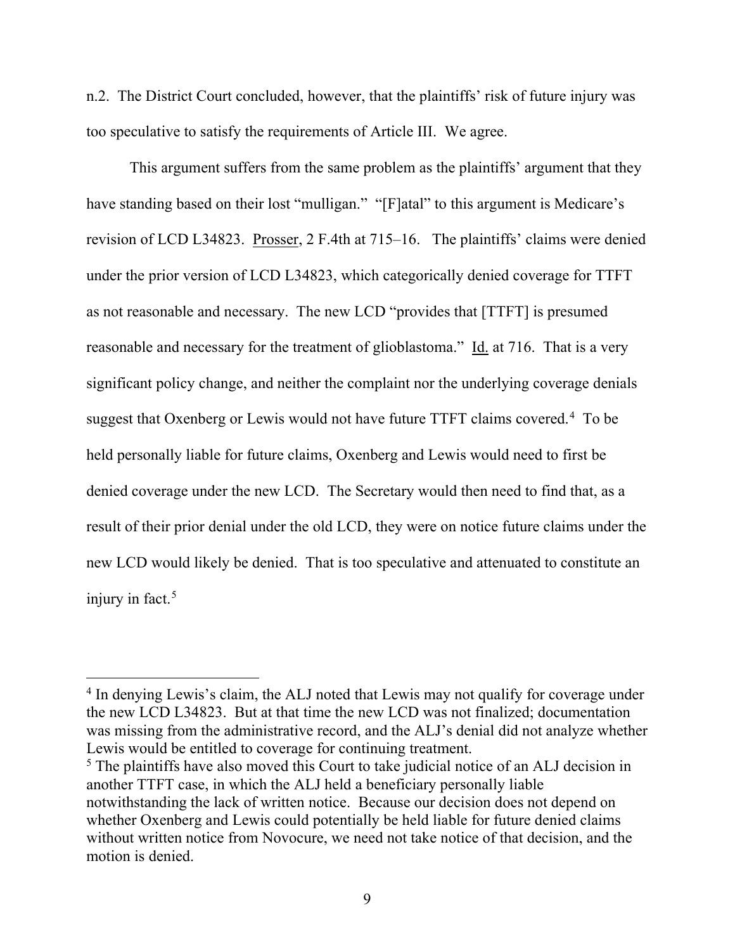n.2. The District Court concluded, however, that the plaintiffs' risk of future injury was too speculative to satisfy the requirements of Article III. We agree.

This argument suffers from the same problem as the plaintiffs' argument that they have standing based on their lost "mulligan." "[F]atal" to this argument is Medicare's revision of LCD L34823. Prosser, 2 F.4th at 715–16. The plaintiffs' claims were denied under the prior version of LCD L34823, which categorically denied coverage for TTFT as not reasonable and necessary. The new LCD "provides that [TTFT] is presumed reasonable and necessary for the treatment of glioblastoma." Id. at 716. That is a very significant policy change, and neither the complaint nor the underlying coverage denials suggest that Oxenberg or Lewis would not have future TTFT claims covered.<sup>4</sup> To be held personally liable for future claims, Oxenberg and Lewis would need to first be denied coverage under the new LCD. The Secretary would then need to find that, as a result of their prior denial under the old LCD, they were on notice future claims under the new LCD would likely be denied. That is too speculative and attenuated to constitute an injury in fact.<sup>5</sup>

<sup>&</sup>lt;sup>4</sup> In denying Lewis's claim, the ALJ noted that Lewis may not qualify for coverage under the new LCD L34823. But at that time the new LCD was not finalized; documentation was missing from the administrative record, and the ALJ's denial did not analyze whether Lewis would be entitled to coverage for continuing treatment.

<sup>&</sup>lt;sup>5</sup> The plaintiffs have also moved this Court to take judicial notice of an ALJ decision in another TTFT case, in which the ALJ held a beneficiary personally liable notwithstanding the lack of written notice. Because our decision does not depend on whether Oxenberg and Lewis could potentially be held liable for future denied claims without written notice from Novocure, we need not take notice of that decision, and the motion is denied.